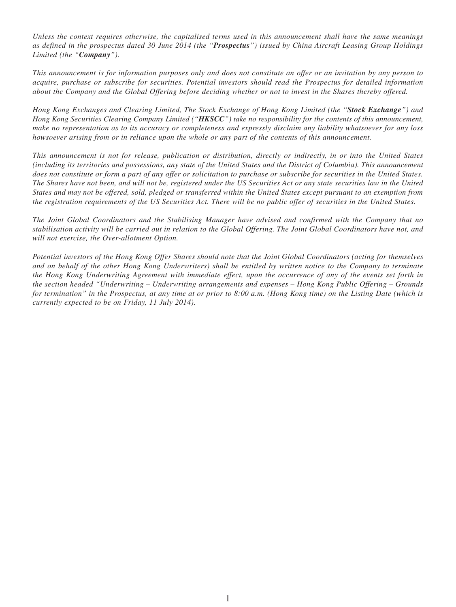*Unless the context requires otherwise, the capitalised terms used in this announcement shall have the same meanings as defined in the prospectus dated 30 June 2014 (the "Prospectus") issued by China Aircraft Leasing Group Holdings Limited (the "Company").*

*This announcement is for information purposes only and does not constitute an offer or an invitation by any person to acquire, purchase or subscribe for securities. Potential investors should read the Prospectus for detailed information about the Company and the Global Offering before deciding whether or not to invest in the Shares thereby offered.*

*Hong Kong Exchanges and Clearing Limited, The Stock Exchange of Hong Kong Limited (the "Stock Exchange") and Hong Kong Securities Clearing Company Limited ("HKSCC") take no responsibility for the contents of this announcement, make no representation as to its accuracy or completeness and expressly disclaim any liability whatsoever for any loss howsoever arising from or in reliance upon the whole or any part of the contents of this announcement.*

*This announcement is not for release, publication or distribution, directly or indirectly, in or into the United States (including its territories and possessions, any state of the United States and the District of Columbia). This announcement does not constitute or form a part of any offer or solicitation to purchase or subscribe for securities in the United States. The Shares have not been, and will not be, registered under the US Securities Act or any state securities law in the United States and may not be offered, sold, pledged or transferred within the United States except pursuant to an exemption from the registration requirements of the US Securities Act. There will be no public offer of securities in the United States.*

*The Joint Global Coordinators and the Stabilising Manager have advised and confirmed with the Company that no stabilisation activity will be carried out in relation to the Global Offering. The Joint Global Coordinators have not, and will not exercise, the Over-allotment Option.*

*Potential investors of the Hong Kong Offer Shares should note that the Joint Global Coordinators (acting for themselves and on behalf of the other Hong Kong Underwriters) shall be entitled by written notice to the Company to terminate the Hong Kong Underwriting Agreement with immediate effect, upon the occurrence of any of the events set forth in the section headed "Underwriting – Underwriting arrangements and expenses – Hong Kong Public Offering – Grounds for termination" in the Prospectus, at any time at or prior to 8:00 a.m. (Hong Kong time) on the Listing Date (which is currently expected to be on Friday, 11 July 2014).*